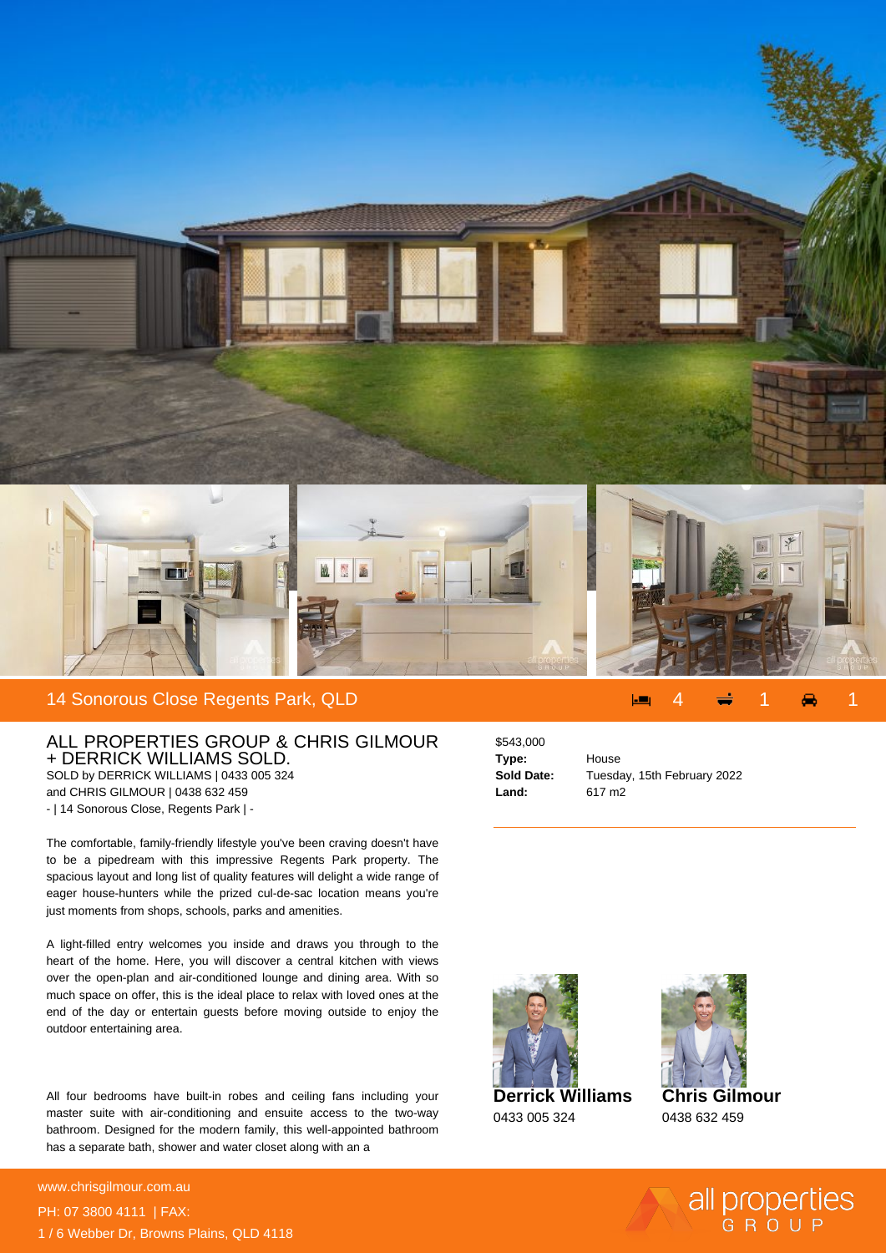

## ALL PROPERTIES GROUP & CHRIS GILMOUR + DERRICK WILLIAMS SOLD. SOLD by DERRICK WILLIAMS | 0433 005 324 and CHRIS GILMOUR | 0438 632 459

- | 14 Sonorous Close, Regents Park | -

The comfortable, family-friendly lifestyle you've been craving doesn't have to be a pipedream with this impressive Regents Park property. The spacious layout and long list of quality features will delight a wide range of eager house-hunters while the prized cul-de-sac location means you're just moments from shops, schools, parks and amenities.

A light-filled entry welcomes you inside and draws you through to the heart of the home. Here, you will discover a central kitchen with views over the open-plan and air-conditioned lounge and dining area. With so much space on offer, this is the ideal place to relax with loved ones at the end of the day or entertain guests before moving outside to enjoy the outdoor entertaining area.

All four bedrooms have built-in robes and ceiling fans including your master suite with air-conditioning and ensuite access to the two-way bathroom. Designed for the modern family, this well-appointed bathroom has a separate bath, shower and water closet along with an a

**For more details please visit** www.chrisgilmour.com.au/68538416<br>www.chrisgilmour.com.au PH: 07 3800 4111 | FAX: 1 / 6 Webber Dr, Browns Plains, QLD 4118

## \$543,000 **Type:** House **Land:** 617 m2

**Sold Date:** Tuesday, 15th February 2022



0433 005 324



**Chris Gilmour** 0438 632 459